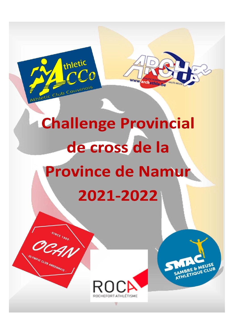## **Challenge Provincial** de cross de la **Province de Namur** 2021-2022

thletic

hietic Club Couvinois

SINCE 196

OLYMPIC CLUB ANDENNAIS



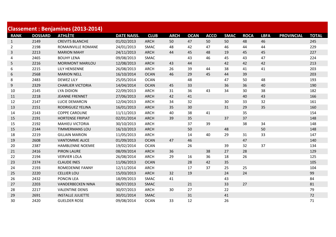|                |                | <b>Classement: Benjamines (2013-2014)</b> |                    |             |             |             |             |             |             |             |                   |              |
|----------------|----------------|-------------------------------------------|--------------------|-------------|-------------|-------------|-------------|-------------|-------------|-------------|-------------------|--------------|
| <b>RANK</b>    | <b>DOSSARD</b> | <b>ATHLÈTE</b>                            | <b>DATE NAISS.</b> | <b>CLUB</b> | <b>ARCH</b> | <b>OCAN</b> | <b>ACCO</b> | <b>SMAC</b> | <b>ROCA</b> | <b>LBFA</b> | <b>PROVINCIAL</b> | <b>TOTAL</b> |
| $\mathbf{1}$   | 2149           | <b>CREVITS BLANCHE</b>                    | 01/02/2013         | <b>ARCH</b> | 50          | 47          | 50          | 50          | 48          | 46          |                   | 245          |
| $\overline{2}$ | 2198           | ROMAINVILLE ROMANE                        | 24/01/2013         | SMAC        | 48          | 42          | 47          | 46          | 44          | 44          |                   | 229          |
| 3              | 2213           | <b>MARION MAHY</b>                        | 24/11/2013         | <b>ARCH</b> | 44          | 45          | 48          | 19          | 45          | 45          |                   | 227          |
| 4              | 2465           | <b>BOUHY LENA</b>                         | 09/08/2013         | SMAC        |             | 43          | 46          | 45          | 43          | 47          |                   | 224          |
| 5              | 2216           | <b>MORIMONT MARILOU</b>                   | 12/08/2013         | <b>ARCH</b> | 43          | 44          |             | 42          | 42          | 42          |                   | 213          |
| 6              | 2215           | LILY HENSENNE                             | 26/08/2013         | <b>ARCH</b> | 26          | 39          | 44          | 38          | 41          | 41          |                   | 203          |
| 6              | 2568           | <b>MARION NELL</b>                        | 16/10/2014         | <b>OCAN</b> | 46          | 29          | 45          | 44          | 39          |             |                   | 203          |
| 8              | 2483           | <b>DEWEZ LILY</b>                         | 25/05/2014         | <b>OCAN</b> |             | 48          |             | 47          | 50          | 48          |                   | 193          |
| 9              | 2329           | <b>CHARLIER VICTORIA</b>                  | 14/04/2014         | <b>OCAN</b> | 45          | 33          |             | 36          | 36          | 40          |                   | 190          |
| 10             | 2145           | <b>LYA DIDION</b>                         | 22/09/2013         | <b>ARCH</b> | 31          | 36          | 43          | 34          | 30          | 38          |                   | 182          |
| 11             | 2218           | <b>JEANNE FRENNET</b>                     | 27/06/2013         | ARCH        | 42          | 41          |             |             | 40          | 43          |                   | 166          |
| 12             | 2147           | LUCIE DEMARCIN                            | 12/04/2013         | <b>ARCH</b> | 34          | 32          |             | 30          | 33          | 32          |                   | 161          |
| 13             | 2151           | <b>RODRIGUEZ YELINA</b>                   | 16/01/2013         | <b>ARCH</b> | 35          | 30          |             | 31          | 29          | 35          |                   | 160          |
| 14             | 2143           | <b>COPPE CAROLINE</b>                     | 11/11/2013         | <b>ARCH</b> | 40          | 38          | 41          |             | 35          |             |                   | 154          |
| 15             | 2191           | <b>HORTENSE FRIPIAT</b>                   | 02/01/2014         | <b>ARCH</b> | 39          | 35          |             | 37          | 37          |             |                   | 148          |
| 15             | 2192           | <b>MAHIEU VICTORIA</b>                    | 30/10/2013         | <b>ARCH</b> |             | 37          | 39          |             | 38          | 34          |                   | 148          |
| 15             | 2144           | <b>TIMMERMANS LOU</b>                     | 16/10/2013         | <b>ARCH</b> |             | 50          |             | 48          |             | 50          |                   | 148          |
| 18             | 2219           | <b>GILLAIN MARION</b>                     | 11/05/2013         | <b>ARCH</b> |             | 14          | 40          | 29          | 31          | 33          |                   | 147          |
| 19             | 2608           | <b>VANTOMME ALICE</b>                     | 01/09/2013         | <b>OCAN</b> | 47          | 46          |             |             | 47          |             |                   | 140          |
| 20             | 2387           | <b>HAMBLENNE NOEMIE</b>                   | 19/02/2014         | <b>OCAN</b> |             | 26          |             | 39          | 32          | 37          |                   | 134          |
| 21             | 2416           | <b>PIRON LAURE</b>                        | 08/09/2014         | <b>ARCH</b> | 36          |             | 38          | 27          | 28          |             |                   | 129          |
| 22             | 2194           | <b>VERVIER LOLA</b>                       | 26/08/2014         | <b>ARCH</b> | 29          | 16          | 36          | 18          | 26          |             |                   | 125          |
| 23             | 2374           | <b>CLAUDE INES</b>                        | 11/06/2013         | <b>OCAN</b> |             | 28          | 42          | 35          |             |             |                   | 105          |
| 24             | 2193           | <b>ROMEDENNE FANNY</b>                    | 12/11/2014         | <b>ARCH</b> |             | 17          | 37          | 25          | 25          |             |                   | 104          |
| 25             | 2220           | <b>CELLIER LOU</b>                        | 15/03/2013         | <b>ARCH</b> | 32          | 19          |             | 24          | 24          |             |                   | 99           |
| 26             | 2432           | PONCIN LEA                                | 18/09/2013         | SMAC        | 41          |             |             | 43          |             |             |                   | 84           |
| 27             | 2203           | <b>VANDERBECKEN NINA</b>                  | 06/07/2013         | SMAC        |             | 21          |             | 33          | 27          |             |                   | 81           |
| 28             | 2217           | <b>VALENTINE DENIS</b>                    | 30/07/2013         | <b>ARCH</b> | 30          | 27          |             | 22          |             |             |                   | 79           |
| 29             | 2691           | <b>INSTALLE JULIETTE</b>                  | 30/01/2014         | <b>SMAC</b> |             | 31          |             | 41          |             |             |                   | 72           |
| 30             | 2420           | <b>GUELDER ROSE</b>                       | 09/08/2014         | <b>OCAN</b> | 33          | 12          |             | 26          |             |             |                   | 71           |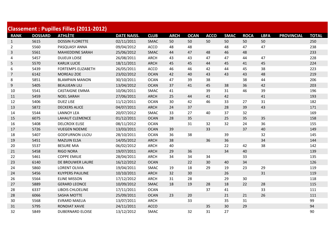|                         |                | <b>Classement: Pupilles Filles (2011-2012)</b> |                    |             |             |             |             |             |             |             |                   |              |
|-------------------------|----------------|------------------------------------------------|--------------------|-------------|-------------|-------------|-------------|-------------|-------------|-------------|-------------------|--------------|
| <b>RANK</b>             | <b>DOSSARD</b> | <b>ATHLÈTE</b>                                 | <b>DATE NAISS.</b> | <b>CLUB</b> | <b>ARCH</b> | <b>OCAN</b> | <b>ACCO</b> | <b>SMAC</b> | <b>ROCA</b> | <b>LBFA</b> | <b>PROVINCIAL</b> | <b>TOTAL</b> |
| $\mathbf{1}$            | 5615           | <b>DOSSIN FLORETTE</b>                         | 02/11/2011         | SMAC        | 50          | 50          | 50          | 50          | 50          | 50          |                   | 250          |
| $\overline{2}$          | 5560           | PASQUASY ANNA                                  | 09/04/2012         | <b>ACCO</b> | 48          | 48          |             | 48          | 47          | 47          |                   | 238          |
| $\mathbf{3}$            | 5561           | <b>MAHIEDDINE SARAH</b>                        | 25/06/2012         | <b>SMAC</b> | 44          | 47          | 48          | 46          | 48          |             |                   | 233          |
| $\overline{\mathbf{4}}$ | 5457           | <b>DUJEUX LOISE</b>                            | 26/08/2011         | <b>ARCH</b> | 43          | 43          | 47          | 47          | 44          | 47          |                   | 228          |
| 5                       | 5570           | <b>KARLIK LUCIE</b>                            | 18/11/2011         | <b>ARCH</b> | 45          | 45          | 44          | 45          | 41          | 45          |                   | 224          |
| 6                       | 5439           | <b>FORTEMPS ELIZABETH</b>                      | 26/05/2011         | <b>ACCO</b> | 46          | 46          | 42          | 44          | 45          | 38          |                   | 223          |
| $\overline{7}$          | 6142           | MOREAU ZOE                                     | 23/02/2012         | <b>OCAN</b> | 42          | 40          | 43          | 43          | 43          | 48          |                   | 219          |
| 8                       | 5851           | <b>BLAMPAIN MANON</b>                          | 30/10/2011         | <b>OCAN</b> | 47          | 39          | 38          |             | 38          | 44          |                   | 206          |
| 9                       | 5405           | <b>BEAUJEAN LILI</b>                           | 13/04/2012         | <b>OCAN</b> | 37          | 41          | 45          | 38          | 36          | 42          |                   | 203          |
| 10                      | 5541           | <b>CASTAIGNE EMMA</b>                          | 10/06/2011         | <b>SMAC</b> | 41          |             | 39          | 31          | 46          | 39          |                   | 196          |
| 11                      | 5459           | <b>NOEL SARAH</b>                              | 27/06/2011         | <b>ARCH</b> | 25          | 44          | 41          | 42          |             | 41          |                   | 193          |
| 12                      | 5406           | <b>DUEZ LISE</b>                               | 11/12/2011         | <b>OCAN</b> | 30          | 42          | 46          | 33          | 27          | 31          |                   | 182          |
| 13                      | 5872           | <b>DECKERS ALICE</b>                           | 04/07/2011         | <b>ARCH</b> | 24          | 37          |             | 28          | 39          | 43          |                   | 171          |
| 14                      | 5544           | <b>LANNOY LEA</b>                              | 20/07/2012         | <b>SMAC</b> | 33          | 27          | 40          | 37          | 32          |             |                   | 169          |
| 15                      | 6075           | LAHAUT CLEMENCE                                | 01/12/2011         | <b>OCAN</b> | 28          | 35          |             | 25          | 35          | 35          |                   | 158          |
| 16                      | 5408           | <b>DELCROIX ELISE</b>                          | 08/11/2012         | <b>OCAN</b> |             | 31          | 32          | 32          | 24          | 36          |                   | 155          |
| 17                      | 5726           | <b>VUEGEN NOEMIE</b>                           | 13/03/2011         | <b>OCAN</b> | 39          |             | 33          |             | 37          | 40          |                   | 149          |
| 18                      | 5407           | <b>GODFURNON LILOU</b>                         | 28/10/2011         | <b>OCAN</b> | 36          | 38          |             | 39          |             | 32          |                   | 145          |
| 19                      | 5451           | <b>MAZUIN ELSA</b>                             | 14/05/2012         | <b>ARCH</b> | 38          |             | 36          | 36          |             | 34          |                   | 144          |
| 20                      | 5537           | <b>BESURE MIA</b>                              | 06/02/2012         | <b>ARCH</b> | 40          |             |             | 22          | 42          | 38          |                   | 142          |
| 21                      | 5458           | <b>RIGO NORA</b>                               | 19/07/2011         | <b>ARCH</b> | 29          | 36          |             | 34          | 40          |             |                   | 139          |
| 22                      | 5461           | <b>COPPE EMILIE</b>                            | 28/04/2011         | <b>ARCH</b> | 34          | 34          | 34          |             | 33          |             |                   | 135          |
| 23                      | 6140           | DE BROUWER LAURE                               | 16/12/2012         | <b>OCAN</b> |             | 22          | 30          | 40          | 34          |             |                   | 126          |
| 24                      | 5860           | <b>LORENT OLIVIA</b>                           | 19/04/2011         | <b>SMAC</b> | 19          | 18          | 29          | 19          | 23          | 29          |                   | 119          |
| 24                      | 5456           | <b>KUYPERS PAULINE</b>                         | 10/10/2011         | <b>ARCH</b> | 32          | 30          |             | 26          |             | 31          |                   | 119          |
| 26                      | 5564           | <b>ELINE MISSON</b>                            | 17/12/2012         | <b>ARCH</b> | 31          | 28          |             | 29          | 30          |             |                   | 118          |
| 27                      | 5889           | <b>GERARD LEONCE</b>                           | 10/09/2012         | SMAC        | 18          | 19          | 28          | 18          | 22          | 28          |                   | 115          |
| 28                      | 6337           | LIBOIS CHLOELINE                               | 17/11/2011         | <b>OCAN</b> |             |             | 37          | 41          |             | 33          |                   | 111          |
| 28                      | 6066           | <b>SASHA MOTTE</b>                             | 25/09/2011         | <b>OCAN</b> | 23          | 20          |             | 21          | 21          | 26          |                   | 111          |
| 30                      | 5568           | <b>EVRARD MAELIA</b>                           | 13/07/2011         | <b>ARCH</b> |             | 33          |             | 35          | 31          |             |                   | 99           |
| 31                      | 5795           | <b>RONDIAT XAVIE</b>                           | 24/11/2011         | <b>ACCO</b> |             |             | 35          | 30          | 29          |             |                   | 94           |
| 32                      | 5849           | <b>DUBERNARD ELOISE</b>                        | 13/12/2012         | <b>SMAC</b> |             | 32          | 31          | 27          |             |             |                   | 90           |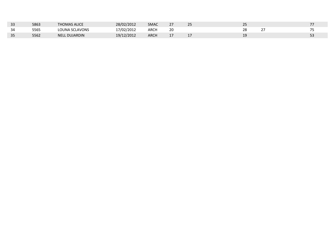| 33 | 5863 | <b>THOMAS ALICE</b> | 28/02/2012 | <b>SMAC</b> | 27  | 25  |           |  |
|----|------|---------------------|------------|-------------|-----|-----|-----------|--|
| 34 | 5565 | LOUNA SCLAVONS      | 17/02/2012 | ARCH        | 20  |     |           |  |
| 35 | 5562 | L DUJARDIN<br>NELL  | 19/12/2012 | <b>ARCH</b> | - 1 | . . | 1 C<br>-- |  |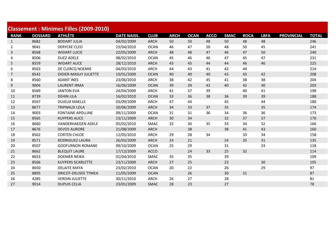|                |                | <b>Classement: Minimes Filles (2009-2010)</b> |                    |             |             |             |             |             |             |             |                   |              |
|----------------|----------------|-----------------------------------------------|--------------------|-------------|-------------|-------------|-------------|-------------|-------------|-------------|-------------------|--------------|
| <b>RANK</b>    | <b>DOSSARD</b> | <b>ATHLÈTE</b>                                | <b>DATE NAISS.</b> | <b>CLUB</b> | <b>ARCH</b> | <b>OCAN</b> | <b>ACCO</b> | <b>SMAC</b> | <b>ROCA</b> | <b>LBFA</b> | <b>PROVINCIAL</b> | <b>TOTAL</b> |
| $\mathbf{1}$   | 8682           | <b>BODART JULIA</b>                           | 04/02/2009         | <b>ARCH</b> | 50          | 50          | 48          | 50          | 48          | 48          |                   | 246          |
| $\overline{2}$ | 9041           | <b>DERYCKE CLEO</b>                           | 23/04/2010         | <b>OCAN</b> | 46          | 47          | 50          | 48          | 50          | 45          |                   | 241          |
| 3              | 8568           | <b>WIDART LUCIE</b>                           | 22/05/2009         | <b>ARCH</b> | 48          | 48          | 47          | 46          | 47          | 50          |                   | 240          |
| 4              | 8506           | <b>DUEZ ADELE</b>                             | 08/02/2010         | <b>OCAN</b> | 45          | 46          | 46          | 47          | 45          | 47          |                   | 231          |
| 5              | 8559           | <b>WIDART ALICE</b>                           | 28/12/2010         | <b>ARCH</b> | 43          | 45          | 44          | 44          | 46          | 46          |                   | 225          |
| 6              | 8563           | DE CLERCQ NOEMIE                              | 04/03/2010         | <b>ARCH</b> | 44          | 43          | 41          | 42          | 44          |             |                   | 214          |
| $\overline{7}$ | 8542           | DIDIER-MASUY JULIETTE                         | 10/01/2009         | <b>OCAN</b> | 40          | 40          | 40          | 43          | 43          | 42          |                   | 208          |
| 8              | 8560           | <b>ADANT INES</b>                             | 23/06/2010         | <b>ARCH</b> | 38          | 42          | 45          | 41          | 38          | 38          |                   | 204          |
| 9              | 9004           | <b>LAURENT IRMA</b>                           | 16/06/2009         | <b>OCAN</b> | 39          | 39          | 42          | 40          | 42          | 40          |                   | 203          |
| 10             | 8569           | <b>JANTON EVA</b>                             | 24/04/2009         | <b>ARCH</b> | 41          | 37          | 39          |             | 40          | 41          |                   | 198          |
| 11             | 8739           | <b>DEHIN LILA</b>                             | 16/02/2010         | <b>OCAN</b> | 33          | 36          | 38          | 36          | 39          | 39          |                   | 188          |
| 12             | 8567           | <b>DUJEUX MAELLE</b>                          | 03/09/2009         | <b>ARCH</b> | 47          | 44          |             | 45          |             | 44          |                   | 180          |
| 13             | 8677           | <b>TRIPNAUX LOLA</b>                          | 20/06/2009         | <b>ARCH</b> | 34          | 33          | 37          | 35          |             | 35          |                   | 174          |
| 14             | 9003           | <b>FONTAINE APOLLINE</b>                      | 09/11/2009         | <b>OCAN</b> | 31          | 31          | 36          | 34          | 36          | 36          |                   | 173          |
| 15             | 8565           | <b>KUYPERS ALICE</b>                          | 23/11/2009         | <b>ARCH</b> | 30          | 34          |             | 32          | 37          | 37          |                   | 170          |
| 16             | 8660           | <b>VANDERHAEGEN ADELE</b>                     | 05/02/2010         | SMAC        | 32          | 30          | 35          | 33          | 34          | 32          |                   | 166          |
| 17             | 8676           | <b>DEVOS AURORE</b>                           | 21/08/2009         | <b>ARCH</b> |             | 38          |             | 38          | 41          | 43          |                   | 160          |
| 18             | 8562           | <b>CORTEN CHLOE</b>                           | 12/05/2010         | <b>ARCH</b> | 29          | 28          | 34          |             | 33          | 34          |                   | 158          |
| 19             | 8571           | RODRIGUEZ LAURA                               | 26/03/2009         | <b>ARCH</b> | 24          | 21          |             | 24          | 35          | 31          |                   | 135          |
| 20             | 8507           | <b>GODFURNON ROMANE</b>                       | 09/10/2009         | <b>OCAN</b> | 25          | 29          |             | 31          |             | 33          |                   | 118          |
| 21             | 8662           | <b>BLEQUIT LAURE</b>                          | 17/12/2009         | <b>ACCO</b> |             | 24          | 33          | 25          | 32          |             |                   | 114          |
| 22             | 8653           | <b>DOEMER NEIKA</b>                           | 01/04/2010         | <b>SMAC</b> | 35          | 35          |             | 39          |             |             |                   | 109          |
| 23             | 8566           | <b>KUYPERS SCARLETTE</b>                      | 23/11/2009         | <b>ARCH</b> | 27          | 25          |             | 23          |             | 30          |                   | 105          |
| 24             | 8650           | <b>DELAITE MAYA</b>                           | 23/02/2010         | <b>OCAN</b> | 20          | 22          |             | 26          |             | 29          |                   | 97           |
| 25             | 8895           | <b>DRICOT-DELISEE TYMEA</b>                   | 11/05/2009         | <b>OCAN</b> |             | 26          |             | 30          | 31          |             |                   | 87           |
| 26             | 4285           | <b>VERDIN JULIETTE</b>                        | 30/11/2010         | <b>ARCH</b> | 26          | 27          |             | 28          |             |             |                   | 81           |
| 27             | 9014           | <b>DUPUIS CELIA</b>                           | 23/01/2009         | SMAC        | 28          | 23          |             | 27          |             |             |                   | 78           |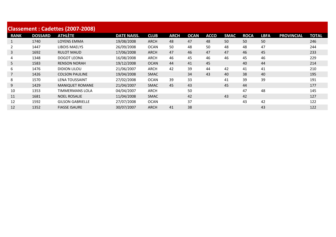|             |                | Classement: Cadettes (2007-2008) |                    |             |             |             |             |             |             |             |                   |              |
|-------------|----------------|----------------------------------|--------------------|-------------|-------------|-------------|-------------|-------------|-------------|-------------|-------------------|--------------|
| <b>RANK</b> | <b>DOSSARD</b> | <b>ATHLÈTE</b>                   | <b>DATE NAISS.</b> | <b>CLUB</b> | <b>ARCH</b> | <b>OCAN</b> | <b>ACCO</b> | <b>SMAC</b> | <b>ROCA</b> | <b>LBFA</b> | <b>PROVINCIAL</b> | <b>TOTAL</b> |
|             | 1740           | <b>LOYENS EMMA</b>               | 19/08/2008         | <b>ARCH</b> | 48          | 47          | 48          | 50          | 50          | 50          |                   | 246          |
|             | 1447           | <b>LIBOIS MAELYS</b>             | 26/09/2008         | <b>OCAN</b> | 50          | 48          | 50          | 48          | 48          | 47          |                   | 244          |
| 3           | 1692           | <b>RULOT MAUD</b>                | 17/06/2008         | <b>ARCH</b> | 47          | 46          | 47          | 47          | 46          | 45          |                   | 233          |
| 4           | 1348           | DOGOT LEONA                      | 16/08/2008         | <b>ARCH</b> | 46          | 45          | 46          | 46          | 45          | 46          |                   | 229          |
| 5           | 1583           | <b>RENSON NORAH</b>              | 19/12/2008         | <b>OCAN</b> | 44          | 41          | 45          |             | 40          | 44          |                   | 214          |
| 6           | 1476           | <b>DIDION LILOU</b>              | 21/06/2007         | <b>ARCH</b> | 42          | 39          | 44          | 42          | 41          | 41          |                   | 210          |
|             | 1426           | <b>COLSON PAULINE</b>            | 19/04/2008         | <b>SMAC</b> |             | 34          | 43          | 40          | 38          | 40          |                   | 195          |
| 8           | 1570           | <b>LENA TOUSSAINT</b>            | 27/02/2008         | <b>OCAN</b> | 39          | 33          |             | 41          | 39          | 39          |                   | 191          |
| 9           | 1429           | <b>MANIQUET ROMANE</b>           | 21/04/2007         | <b>SMAC</b> | 45          | 43          |             | 45          | 44          |             |                   | 177          |
| 10          | 1353           | <b>TIMMERMANS LOLA</b>           | 04/04/2007         | <b>ARCH</b> |             | 50          |             |             | 47          | 48          |                   | 145          |
| 11          | 1681           | <b>NOEL ROSALIE</b>              | 11/04/2008         | <b>SMAC</b> |             | 42          |             | 43          | 42          |             |                   | 127          |
| 12          | 1592           | <b>GILSON GABRIELLE</b>          | 27/07/2008         | <b>OCAN</b> |             | 37          |             |             | 43          | 42          |                   | 122          |
| 12          | 1352           | <b>FIASSE ISAURE</b>             | 30/07/2007         | <b>ARCH</b> | 41          | 38          |             |             |             | 43          |                   | 122          |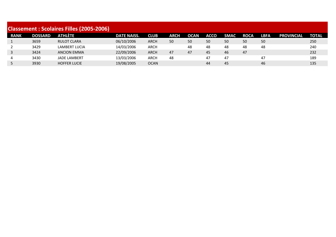|             |                | <b>Classement: Scolaires Filles (2005-2006)</b> |                    |             |             |             |             |             |             |             |                   |              |
|-------------|----------------|-------------------------------------------------|--------------------|-------------|-------------|-------------|-------------|-------------|-------------|-------------|-------------------|--------------|
| <b>RANK</b> | <b>DOSSARD</b> | <b>ATHLÈTE</b>                                  | <b>DATE NAISS.</b> | <b>CLUB</b> | <b>ARCH</b> | <b>OCAN</b> | <b>ACCO</b> | <b>SMAC</b> | <b>ROCA</b> | <b>LBFA</b> | <b>PROVINCIAL</b> | <b>TOTAL</b> |
|             | 3659           | <b>RULOT CLARA</b>                              | 06/10/2006         | ARCH        | 50          | 50          | 50          | 50          | 50          | 50          |                   | 250          |
| 2           | 3429           | LAMBERT LUCIA                                   | 14/03/2006         | <b>ARCH</b> |             | 48          | 48          | 48          | 48          | 48          |                   | 240          |
| 3           | 3424           | <b>ANCION EMMA</b>                              | 22/09/2006         | <b>ARCH</b> | 47          | 47          | 45          | 46          | 47          |             |                   | 232          |
| 4           | 3430           | <b>JADE LAMBERT</b>                             | 13/03/2006         | <b>ARCH</b> | 48          |             | 47          | 47          |             | 47          |                   | 189          |
|             | 3930           | <b>HOFFER LUCIE</b>                             | 19/08/2005         | <b>OCAN</b> |             |             | 44          | 45          |             | 46          |                   | 135          |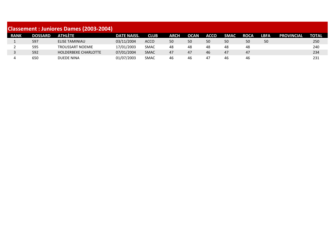| <b>Classement : Juniores Dames (2003-2004)</b> |                |                             |                    |             |             |             |             |             |             |             |                   |              |  |
|------------------------------------------------|----------------|-----------------------------|--------------------|-------------|-------------|-------------|-------------|-------------|-------------|-------------|-------------------|--------------|--|
| <b>RANK</b>                                    | <b>DOSSARD</b> | ATHLÈTE                     | <b>DATE NAISS.</b> | <b>CLUB</b> | <b>ARCH</b> | <b>OCAN</b> | <b>ACCO</b> | <b>SMAC</b> | <b>ROCA</b> | <b>LBFA</b> | <b>PROVINCIAL</b> | <b>TOTAL</b> |  |
|                                                | 597            | <b>ELISE TAMINIAU</b>       | 03/11/2004         | <b>ACCO</b> | 50          | 50          | 50          | 50          | 50          | 50          |                   | 250          |  |
|                                                | 595            | <b>TROUSSART NOEMIE</b>     | 17/01/2003         | <b>SMAC</b> | 48          | 48          | 48          | 48          | 48          |             |                   | 240          |  |
|                                                | 592            | <b>HOLDERBEKE CHARLOTTE</b> | 07/01/2004         | <b>SMAC</b> | 47          | 47          | 46          | 47          | 47          |             |                   | 234          |  |
|                                                | 650            | DUEDE NINA                  | 01/07/2003         | <b>SMAC</b> | 46          | 46          | 47          | 46          | 46          |             |                   | 231          |  |
|                                                |                |                             |                    |             |             |             |             |             |             |             |                   |              |  |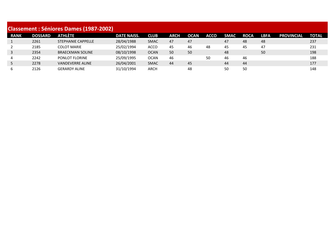|              |                | <b>Classement : Séniores Dames (1987-2002)</b> |                    |             |      |             |             |             |             |      |                   |              |
|--------------|----------------|------------------------------------------------|--------------------|-------------|------|-------------|-------------|-------------|-------------|------|-------------------|--------------|
| <b>RANK</b>  | <b>DOSSARD</b> | ATHLÈTE                                        | <b>DATE NAISS.</b> | <b>CLUB</b> | ARCH | <b>OCAN</b> | <b>ACCO</b> | <b>SMAC</b> | <b>ROCA</b> | LBFA | <b>PROVINCIAL</b> | <b>TOTAL</b> |
|              | 2261           | STEPHANIE CAPPELLE                             | 28/04/1988         | <b>SMAC</b> | 47   | 47          |             | 47          | 48          | 48   |                   | 237          |
| 2            | 2185           | <b>COLOT MARIE</b>                             | 25/02/1994         | <b>ACCO</b> | 45   | 46          | 48          | 45          | 45          | 47   |                   | 231          |
| $\mathbf{3}$ | 2354           | <b>BRAECKMAN SOLINE</b>                        | 08/10/1998         | <b>OCAN</b> | 50   | 50          |             | 48          |             | 50   |                   | 198          |
| 4            | 2242           | <b>PONLOT FLORINE</b>                          | 25/09/1995         | <b>OCAN</b> | 46   |             | 50          | 46          | 46          |      |                   | 188          |
| 5            | 2278           | <b>VANDEVERRE ALINE</b>                        | 26/04/2001         | <b>SMAC</b> | 44   | 45          |             | 44          | 44          |      |                   | 177          |
| 6            | 2126           | <b>GERARDY ALINE</b>                           | 31/10/1994         | <b>ARCH</b> |      | 48          |             | 50          | 50          |      |                   | 148          |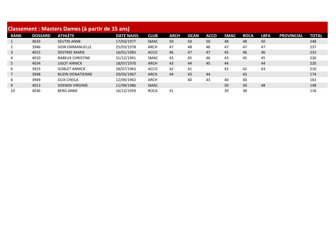|                |                | <b>Classement: Masters Dames (à partir de 35 ans)</b> |                    |             |             |             |             |             |             |             |                   |              |
|----------------|----------------|-------------------------------------------------------|--------------------|-------------|-------------|-------------|-------------|-------------|-------------|-------------|-------------------|--------------|
| <b>RANK</b>    | <b>DOSSARD</b> | ATHLÈTE                                               | <b>DATE NAISS.</b> | <b>CLUB</b> | <b>ARCH</b> | <b>OCAN</b> | <b>ACCO</b> | <b>SMAC</b> | <b>ROCA</b> | <b>LBFA</b> | <b>PROVINCIAL</b> | <b>TOTAL</b> |
| $\mathbf{1}$   | 4033           | <b>SEUTIN ANNE</b>                                    | 17/03/1977         | <b>SMAC</b> | 50          | 50          | 50          | 48          | 48          | 50          |                   | 248          |
| 2              | 3946           | <b>SION EMMANUELLE</b>                                | 25/03/1978         | <b>ARCH</b> | 47          | 48          | 48          | 47          | 47          | 47          |                   | 237          |
| 3              | 4015           | <b>DESTREE MARIE</b>                                  | 16/01/1983         | <b>ACCO</b> | 46          | 47          | 47          | 45          | 46          | 46          |                   | 232          |
| 4              | 4010           | <b>RABEUX CHRISTINE</b>                               | 31/12/1961         | <b>SMAC</b> | 45          | 45          | 46          | 43          | 45          | 45          |                   | 226          |
| 5              | 4034           | <b>LIGOT ANNICK</b>                                   | 18/07/1970         | <b>ARCH</b> | 43          | 44          | 45          | 44          |             | 44          |                   | 220          |
| 6              | 3923           | <b>GOBLET ANNICK</b>                                  | 28/07/1963         | <b>ACCO</b> | 42          | 41          |             | 42          | 42          | 43          |                   | 210          |
| $\overline{7}$ | 3948           | <b>BUZIN DONATIENNE</b>                               | 20/05/1967         | <b>ARCH</b> | 44          | 43          | 44          |             | 43          |             |                   | 174          |
| 8              | 3949           | OLIX CHEILA                                           | 12/09/1963         | <b>ARCH</b> |             | 40          | 43          | 40          | 40          |             |                   | 163          |
| 9              | 4013           | <b>SOENEN VIRGINIE</b>                                | 11/09/1986         | <b>SMAC</b> |             |             |             | 50          | 50          | 48          |                   | 148          |
| 10             | 4036           | <b>BERG ANNE</b>                                      | 16/12/1959         | <b>ROCA</b> | 41          |             |             | 39          | 38          |             |                   | 118          |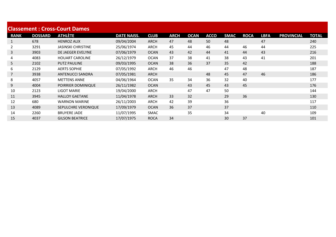|                |                | <b>Classement: Cross-Court Dames</b> |                    |             |             |             |             |             |             |             |                   |       |
|----------------|----------------|--------------------------------------|--------------------|-------------|-------------|-------------|-------------|-------------|-------------|-------------|-------------------|-------|
| <b>RANK</b>    | <b>DOSSARD</b> | <b>ATHLÈTE</b>                       | <b>DATE NAISS.</b> | <b>CLUB</b> | <b>ARCH</b> | <b>OCAN</b> | <b>ACCO</b> | <b>SMAC</b> | <b>ROCA</b> | <b>LBFA</b> | <b>PROVINCIAL</b> | TOTAL |
| $\mathbf{1}$   | 678            | <b>HENROZ ALIX</b>                   | 09/04/2004         | <b>ARCH</b> | 47          | 48          | 50          | 48          |             | 47          |                   | 240   |
| $\overline{2}$ | 3291           | <b>JASINSKI CHRISTINE</b>            | 25/06/1974         | <b>ARCH</b> | 45          | 44          | 46          | 44          | 46          | 44          |                   | 225   |
| 3              | 3903           | DE JAEGER EVELYNE                    | 07/06/1979         | <b>OCAN</b> | 43          | 42          | 44          | 41          | 44          | 43          |                   | 216   |
| 4              | 4083           | <b>HOUART CAROLINE</b>               | 26/12/1979         | <b>OCAN</b> | 37          | 38          | 41          | 38          | 43          | 41          |                   | 201   |
| 5              | 2102           | <b>PUTZ PAULINE</b>                  | 09/03/1995         | <b>OCAN</b> | 38          | 36          | 37          | 35          | 42          |             |                   | 188   |
| 6              | 2129           | <b>AERTS SOPHIE</b>                  | 07/05/1992         | <b>ARCH</b> | 46          | 46          |             | 47          | 48          |             |                   | 187   |
|                | 3938           | <b>ANTENUCCI SANDRA</b>              | 07/05/1981         | <b>ARCH</b> |             |             | 48          | 45          | 47          | 46          |                   | 186   |
| 8              | 4057           | <b>METTENS ANNE</b>                  | 04/06/1964         | <b>OCAN</b> | 35          | 34          | 36          | 32          | 40          |             |                   | 177   |
| 9              | 4004           | POIRRIER DOMINIQUE                   | 26/11/1982         | <b>OCAN</b> |             | 43          | 45          | 43          | 45          |             |                   | 176   |
| 10             | 2123           | <b>LIGOT MARIE</b>                   | 19/04/2000         | ARCH        |             | 47          | 47          | 50          |             |             |                   | 144   |
| 11             | 3945           | <b>HALLOY GAETANE</b>                | 11/04/1978         | <b>ARCH</b> | 33          | 32          |             | 29          | 36          |             |                   | 130   |
| 12             | 680            | <b>WARNON MARINE</b>                 | 26/11/2003         | <b>ARCH</b> | 42          | 39          |             | 36          |             |             |                   | 117   |
| 13             | 4089           | SEPULCHRE VERONIQUE                  | 17/09/1979         | <b>OCAN</b> | 36          | 37          |             | 37          |             |             |                   | 110   |
| 14             | 2260           | <b>BRUYERE JADE</b>                  | 11/07/1995         | <b>SMAC</b> |             | 35          |             | 34          |             | 40          |                   | 109   |
| 15             | 4037           | <b>GILSON BEATRICE</b>               | 17/07/1975         | <b>ROCA</b> | 34          |             |             | 30          | 37          |             |                   | 101   |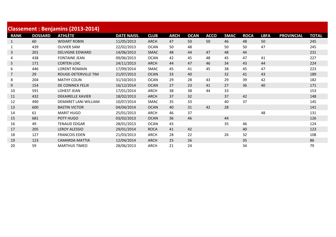|              | <b>Classement: Benjamins (2013-2014)</b> |                          |                    |             |             |             |             |             |             |             |                   |              |  |  |  |
|--------------|------------------------------------------|--------------------------|--------------------|-------------|-------------|-------------|-------------|-------------|-------------|-------------|-------------------|--------------|--|--|--|
| <b>RANK</b>  | <b>DOSSARD</b>                           | <b>ATHLÈTE</b>           | <b>DATE NAISS.</b> | <b>CLUB</b> | <b>ARCH</b> | <b>OCAN</b> | <b>ACCO</b> | <b>SMAC</b> | <b>ROCA</b> | <b>LBFA</b> | <b>PROVINCIAL</b> | <b>TOTAL</b> |  |  |  |
| $\mathbf{1}$ | 60                                       | <b>WIDART ROBIN</b>      | 11/05/2013         | <b>ARCH</b> | 47          | 50          | 50          | 46          | 48          | 50          |                   | 245          |  |  |  |
|              | 439                                      | <b>OLIVIER SAM</b>       | 22/02/2013         | <b>OCAN</b> | 50          | 48          |             | 50          | 50          | 47          |                   | 245          |  |  |  |
| 3            | 201                                      | <b>DELVIGNE EDWARD</b>   | 14/06/2013         | <b>SMAC</b> | 48          | 44          | 47          | 48          | 44          |             |                   | 231          |  |  |  |
| 4            | 438                                      | <b>FONTAINE JEAN</b>     | 09/06/2013         | <b>OCAN</b> | 42          | 45          | 48          | 45          | 47          | 41          |                   | 227          |  |  |  |
| 5            | 171                                      | <b>CORTEN LOIC</b>       | 24/11/2013         | <b>ARCH</b> | 44          | 47          | 46          | 34          | 43          | 44          |                   | 224          |  |  |  |
| 6            | 446                                      | <b>LORENT ROMAIN</b>     | 17/09/2014         | SMAC        | 45          | 41          | 45          | 38          | 45          | 47          |                   | 223          |  |  |  |
|              | 29                                       | ROUGE-DETERVILLE TIM     | 21/07/2013         | <b>OCAN</b> | 33          | 40          |             | 32          | 41          | 43          |                   | 189          |  |  |  |
| 8            | 204                                      | <b>MATHY COLIN</b>       | 31/10/2013         | <b>OCAN</b> | 29          | 28          | 43          | 29          | 39          | 42          |                   | 182          |  |  |  |
| 9            | 154                                      | DE CONINCK FELIX         | 16/12/2014         | <b>OCAN</b> | 27          | 23          | 41          | 27          | 36          | 40          |                   | 171          |  |  |  |
| 10           | 591                                      | <b>LOHEST JEAN</b>       | 17/01/2014         | <b>ARCH</b> | 38          | 38          | 44          | 33          |             |             |                   | 153          |  |  |  |
| 11           | 432                                      | <b>DEKAIRELLE XAVIER</b> | 18/02/2013         | ARCH        | 37          | 32          |             | 37          | 42          |             |                   | 148          |  |  |  |
| 12           | 490                                      | DEMARET LANI WILLIAM     | 10/07/2014         | <b>SMAC</b> | 35          | 33          |             | 40          | 37          |             |                   | 145          |  |  |  |
| 13           | 600                                      | <b>BASTIN VICTOR</b>     | 04/04/2014         | <b>OCAN</b> | 40          | 31          | 42          | 28          |             |             |                   | 141          |  |  |  |
| 14           | 61                                       | <b>MARIT HUGO</b>        | 25/01/2013         | <b>ARCH</b> | 46          | 37          |             |             |             | 48          |                   | 131          |  |  |  |
| 15           | 681                                      | POTY HUGO                | 03/02/2013         | <b>OCAN</b> | 36          | 46          |             | 44          |             |             |                   | 126          |  |  |  |
| 16           | 49                                       | <b>TENAUD EDGAR</b>      | 28/01/2013         | <b>OCAN</b> | 43          |             |             | 35          | 46          |             |                   | 124          |  |  |  |
| 17           | 205                                      | <b>LEROY ALESSIO</b>     | 29/01/2014         | <b>ROCA</b> | 41          | 42          |             |             | 40          |             |                   | 123          |  |  |  |
| 18           | 127                                      | <b>FRANCOIS EDEN</b>     | 21/03/2013         | <b>ARCH</b> | 28          | 22          |             | 26          | 32          |             |                   | 108          |  |  |  |
| 19           | 123                                      | <b>CAMARDA MATTIA</b>    | 12/04/2014         | <b>ARCH</b> | 25          | 26          |             |             | 35          |             |                   | 86           |  |  |  |
| 20           | 59                                       | <b>MARTHUS TIMEO</b>     | 28/06/2013         | <b>ARCH</b> | 21          | 24          |             |             | 34          |             |                   | 79           |  |  |  |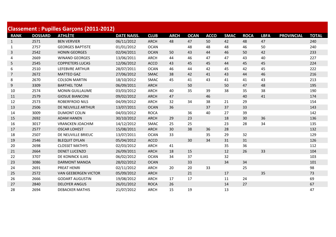| <b>Classement: Pupilles Garçons (2011-2012)</b> |                |                             |                    |             |             |             |             |             |             |             |                   |              |  |
|-------------------------------------------------|----------------|-----------------------------|--------------------|-------------|-------------|-------------|-------------|-------------|-------------|-------------|-------------------|--------------|--|
| <b>RANK</b>                                     | <b>DOSSARD</b> | <b>ATHLÈTE</b>              | <b>DATE NAISS.</b> | <b>CLUB</b> | <b>ARCH</b> | <b>OCAN</b> | <b>ACCO</b> | <b>SMAC</b> | <b>ROCA</b> | <b>LBFA</b> | <b>PROVINCIAL</b> | <b>TOTAL</b> |  |
| $\mathbf{1}$                                    | 2571           | <b>BEN VERVIER</b>          | 06/11/2012         | <b>ARCH</b> | 48          | 47          | 50          | 42          | 48          | 47          |                   | 240          |  |
| $\mathbf{1}$                                    | 2757           | <b>GEORGES BAPTISTE</b>     | 01/01/2012         | <b>OCAN</b> |             | 48          | 48          | 48          | 46          | 50          |                   | 240          |  |
| 3                                               | 2542           | <b>HONIN GEORGES</b>        | 02/04/2011         | <b>OCAN</b> | 50          | 43          | 44          | 46          | 50          | 42          |                   | 233          |  |
| 4                                               | 2669           | <b>WINAND GEORGES</b>       | 13/06/2011         | <b>ARCH</b> | 44          | 46          | 47          | 47          | 43          | 40          |                   | 227          |  |
| 5                                               | 2545           | <b>COPPIETERS LUCAS</b>     | 12/06/2012         | <b>ACCO</b> | 43          | 45          | 45          | 44          | 45          | 45          |                   | 224          |  |
| 6                                               | 2510           | LEFEBVRE ARTHUR             | 28/07/2011         | <b>OCAN</b> | 46          | 44          | 42          | 45          | 42          | 45          |                   | 222          |  |
| $\overline{7}$                                  | 2672           | <b>MATTEO GAZ</b>           | 27/06/2012         | <b>SMAC</b> | 38          | 42          | 41          | 43          | 44          | 46          |                   | 216          |  |
| 8                                               | 2670           | <b>COLSON MARTIN</b>        | 18/10/2012         | <b>SMAC</b> | 45          | 41          | 43          | 41          | 41          | 43          |                   | 213          |  |
| 9                                               | 3309           | <b>BARTHEL TOM</b>          | 06/09/2011         | <b>ARCH</b> |             | 50          |             | 50          | 47          | 48          |                   | 195          |  |
| 10                                              | 2574           | <b>MONIN GUILLAUME</b>      | 03/03/2012         | <b>ARCH</b> | 40          | 35          | 39          | 38          | 35          | 38          |                   | 190          |  |
| 11                                              | 2579           | <b>GIOSUE BIANCONI</b>      | 09/02/2012         | <b>ARCH</b> | 47          |             | 46          |             | 40          | 41          |                   | 174          |  |
| 12                                              | 2573           | <b>ROBERFROID NILS</b>      | 04/09/2012         | <b>ARCH</b> | 32          | 34          | 38          | 21          | 29          |             |                   | 154          |  |
| 13                                              | 2506           | DE NEUVILLE ARTHUR          | 13/07/2011         | <b>OCAN</b> | 36          |             | 37          | 37          | 33          |             |                   | 143          |  |
| 14                                              | 3009           | <b>DUMONT COLIN</b>         | 04/03/2012         | <b>ROCA</b> |             | 36          | 40          | 27          | 39          |             |                   | 142          |  |
| 15                                              | 2692           | <b>ADAM HANEN</b>           | 30/10/2012         | <b>ARCH</b> | 29          | 23          |             | 18          | 30          | 36          |                   | 136          |  |
| 16                                              | 3017           | <b>VRANCKEN JOACHIM</b>     | 14/12/2012         | <b>SMAC</b> | 25          | 25          |             | 23          | 28          | 34          |                   | 135          |  |
| 17                                              | 2577           | <b>OSCAR LOHEST</b>         | 15/08/2011         | <b>ARCH</b> | 30          | 38          | 36          | 28          |             |             |                   | 132          |  |
| 18                                              | 2507           | DE NEUVILLE BRIEUC          | 13/07/2011         | <b>OCAN</b> | 33          |             | 35          | 29          | 32          |             |                   | 129          |  |
| 19                                              | 2546           | <b>BLEQUIT DYLAN</b>        | 05/04/2012         | <b>ACCO</b> |             | 30          | 34          | 31          | 31          |             |                   | 126          |  |
| 20                                              | 2698           | <b>CLOSSET MATHYS</b>       | 02/03/2012         | <b>ARCH</b> | 41          |             |             | 35          | 36          |             |                   | 112          |  |
| 21                                              | 2664           | <b>DENET LUCENZO</b>        | 26/09/2011         | <b>ARCH</b> | 18          | 15          |             | 12          | 26          | 33          |                   | 104          |  |
| 22                                              | 3707           | DE KONINCK ILIAS            | 06/02/2012         | <b>OCAN</b> | 34          | 37          |             | 32          |             |             |                   | 103          |  |
| 23                                              | 3086           | <b>DARMONT MANOA</b>        | 28/02/2012         | <b>OCAN</b> |             | 33          |             | 34          | 34          |             |                   | 101          |  |
| 24                                              | 2691           | <b>PREAT HENRI</b>          | 02/11/2012         | <b>ARCH</b> | 20          | 20          | 33          |             | 25          |             |                   | 98           |  |
| 25                                              | 2572           | <b>VAN GEEBERGEN VICTOR</b> | 05/09/2012         | <b>ARCH</b> |             | 21          |             | 17          |             | 35          |                   | 73           |  |
| 26                                              | 2666           | <b>GODART AUGUSTIN</b>      | 19/08/2012         | <b>ARCH</b> | 17          | 17          |             | 11          | 24          |             |                   | 69           |  |
| 27                                              | 2840           | <b>DELOYER ANGUS</b>        | 26/01/2012         | <b>ROCA</b> | 26          |             |             | 14          | 27          |             |                   | 67           |  |
| 28                                              | 2694           | <b>DEBACKER MATHIS</b>      | 21/07/2012         | <b>ARCH</b> | 15          | 19          |             | 13          |             |             |                   | 47           |  |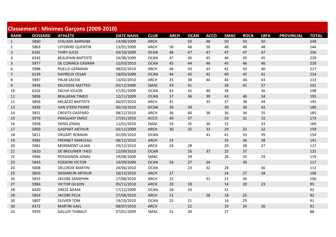| <b>Classement: Minimes Garçons (2009-2010)</b> |                |                          |                    |             |             |             |             |             |             |             |                   |              |
|------------------------------------------------|----------------|--------------------------|--------------------|-------------|-------------|-------------|-------------|-------------|-------------|-------------|-------------------|--------------|
| <b>RANK</b>                                    | <b>DOSSARD</b> | <b>ATHLÈTE</b>           | <b>DATE NAISS.</b> | <b>CLUB</b> | <b>ARCH</b> | <b>OCAN</b> | <b>ACCO</b> | <b>SMAC</b> | <b>ROCA</b> | <b>LBFA</b> | <b>PROVINCIAL</b> | <b>TOTAL</b> |
| $\mathbf{1}$                                   | 5860           | <b>CHILIADE BARNABE</b>  | 14/08/2009         | <b>ARCH</b> |             | 50          | 48          | 50          | 50          | 50          |                   | 248          |
| $\overline{2}$                                 | 5863           | LEFEBVRE QUENTIN         | 13/01/2009         | ARCH        | 50          | 48          | 50          | 48          | 48          | 48          |                   | 244          |
| 3                                              | 6181           | <b>THIRY JULES</b>       | 03/10/2009         | <b>OCAN</b> | 48          | 47          | 47          | 47          | 47          | 47          |                   | 236          |
| 4                                              | 6342           | <b>BEAUPAIN BAPTISTE</b> | 24/08/2009         | <b>OCAN</b> | 47          | 46          | 45          | 46          | 45          | 45          |                   | 229          |
| 5                                              | 5977           | DE CONINCK CASIMIR       | 12/03/2010         | <b>OCAN</b> | 45          | 44          | 46          | 45          | 46          | 46          |                   | 228          |
| 6                                              | 5988           | <b>RUELLE GERMAIN</b>    | 08/02/2010         | <b>ARCH</b> | 46          | 43          | 43          | 42          | 43          | 40          |                   | 217          |
| $\overline{7}$                                 | 6239           | <b>DAVREUX CESAR</b>     | 18/03/2009         | <b>OCAN</b> | 44          | 45          | 42          | 40          | 42          | 41          |                   | 214          |
| 8                                              | 5987           | PALM SACHA               | 13/02/2010         | <b>ARCH</b> | 35          | 38          | 44          | 44          | 44          | 43          |                   | 213          |
| 9                                              | 5956           | <b>DELFOSSE MATTEO</b>   | 05/12/2009         | <b>SMAC</b> | 43          | 41          |             | 39          | 41          | 37          |                   | 201          |
| 10                                             | 6102           | <b>SACHA JOUON</b>       | 17/01/2009         | <b>OCAN</b> | 42          | 42          | 40          | 38          |             | 36          |                   | 198          |
| 11                                             | 5806           | <b>BEAUJEAN TIMEO</b>    | 12/11/2009         | <b>OCAN</b> | 37          | 36          | 39          | 43          | 40          | 34          |                   | 195          |
| 11                                             | 5856           | MILAZZO BAPTISTE         | 06/07/2010         | <b>ARCH</b> | 41          |             | 35          | 37          | 38          | 44          |                   | 195          |
| 13                                             | 5839           | <b>VAN STEEN PIERRE</b>  | 05/10/2010         | <b>OCAN</b> | 39          | 39          |             | 30          | 39          | 42          |                   | 189          |
| 14                                             | 5851           | <b>CREVITS GASPARD</b>   | 08/12/2010         | <b>ARCH</b> | 36          | 40          | 38          | 36          | 34          | 35          |                   | 185          |
| 15                                             | 5976           | PASQUASY EMILE           | 17/01/2010         | <b>ACCO</b> | 40          | 37          |             | 33          | 31          | 32          |                   | 173          |
| 16                                             | 5958           | <b>DENIS JONAS</b>       | 11/01/2010         | <b>SMAC</b> | 33          | 35          | 36          | 32          |             | 33          |                   | 169          |
| 17                                             | 5859           | <b>GASPART ARTHUR</b>    | 03/12/2009         | <b>ARCH</b> | 30          | 32          | 33          | 29          | 32          | 32          |                   | 159          |
| 18                                             | 5811           | <b>DRUART ROMAIN</b>     | 02/09/2010         | <b>OCAN</b> |             |             | 41          | 41          | 33          | 39          |                   | 154          |
| 19                                             | 5983           | <b>FRENNET MARCEAU</b>   | 08/12/2010         | <b>ARCH</b> | 32          |             |             | 35          | 36          | 38          |                   | 141          |
| 20                                             | 5981           | <b>MORIMONT LILIAN</b>   | 29/12/2010         | <b>ARCH</b> | 24          | 28          |             | 20          | 28          | 27          |                   | 127          |
| 21                                             | 5810           | DE BROUWER THEO          | 12/09/2010         | <b>OCAN</b> |             | 26          | 37          | 25          | 37          |             |                   | 125          |
| 22                                             | 5966           | <b>ROSSIGNON JONAS</b>   | 19/08/2009         | <b>SMAC</b> |             | 29          |             | 26          | 35          | 29          |                   | 119          |
| 23                                             | 5843           | <b>FOSSION VICTOR</b>    | 14/09/2009         | <b>OCAN</b> | 26          | 27          | 34          |             | 30          |             |                   | 117          |
| 24                                             | 5808           | <b>DELCROIX MARTIN</b>   | 24/06/2010         | <b>OCAN</b> |             | 23          | 32          | 28          |             | 30          |                   | 113          |
| 25                                             | 5850           | <b>DEMARCIN ARTHUR</b>   | 16/12/2010         | ARCH        | 27          |             |             | 24          | 27          | 28          |                   | 106          |
| 26                                             | 5855           | <b>JACOBS SERAPHIN</b>   | 27/08/2010         | <b>ARCH</b> | 22          |             | 31          | 21          | 26          |             |                   | 100          |
| 27                                             | 5984           | <b>VICTOR GILSON</b>     | 05/11/2010         | <b>ARCH</b> | 20          | 18          |             | 14          | 20          | 23          |                   | 95           |
| 28                                             | 6420           | <b>DREZE ADAM</b>        | 17/12/2009         | <b>OCAN</b> | 28          | 33          |             | 31          |             |             |                   | 92           |
| 28                                             | 5854           | <b>JACOBS FELIX</b>      | 27/08/2010         | <b>ARCH</b> | 21          |             | 28          | 18          | 25          |             |                   | 92           |
| 30                                             | 5807           | <b>OLIVIER TOM</b>       | 19/10/2010         | <b>OCAN</b> | 25          | 21          |             | 16          | 29          |             |                   | 91           |
| 30                                             | 6372           | <b>MARTIN GAEL</b>       | 08/07/2010         | <b>ARCH</b> |             | 22          |             | 19          | 24          | 26          |                   | 91           |
| 32                                             | 5959           | <b>GALLOY THIBAUT</b>    | 07/01/2009         | SMAC        | 31          | 30          |             | 27          |             |             |                   | 88           |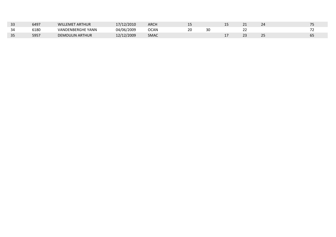| 33 | 6497 | <b>WILLEMET ARTHUR</b> | 17/12/2010 | <b>ARCH</b> | --       |    | -- |  |
|----|------|------------------------|------------|-------------|----------|----|----|--|
| 34 | 5180 | VANDENBERGHE YANN      | 04/06/2009 | <b>OCAN</b> | חר<br>∠∪ | 30 | -- |  |
| 35 | 595. | <b>DEMOULIN ARTHUR</b> | 12/12/2009 | SMAC        |          |    |    |  |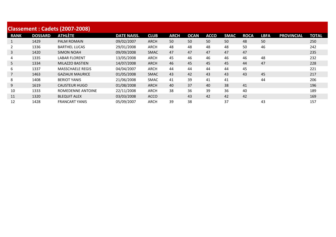| <b>Classement: Cadets (2007-2008)</b> |                |                         |                    |             |             |             |             |             |             |             |                   |       |  |
|---------------------------------------|----------------|-------------------------|--------------------|-------------|-------------|-------------|-------------|-------------|-------------|-------------|-------------------|-------|--|
| <b>RANK</b>                           | <b>DOSSARD</b> | <b>ATHLÈTE</b>          | <b>DATE NAISS.</b> | <b>CLUB</b> | <b>ARCH</b> | <b>OCAN</b> | <b>ACCO</b> | <b>SMAC</b> | <b>ROCA</b> | <b>LBFA</b> | <b>PROVINCIAL</b> | TOTAL |  |
|                                       | 1429           | <b>PALM ROMAIN</b>      | 09/02/2007         | <b>ARCH</b> | 50          | 50          | 50          | 50          | 48          | 50          |                   | 250   |  |
|                                       | 1336           | <b>BARTHEL LUCAS</b>    | 29/01/2008         | <b>ARCH</b> | 48          | 48          | 48          | 48          | 50          | 46          |                   | 242   |  |
| 3                                     | 1420           | <b>SIMON NOAH</b>       | 09/09/2008         | <b>SMAC</b> | 47          | 47          | 47          | 47          | 47          |             |                   | 235   |  |
| 4                                     | 1335           | <b>LABAR FLORENT</b>    | 13/05/2008         | <b>ARCH</b> | 45          | 46          | 46          | 46          | 46          | 48          |                   | 232   |  |
| 5                                     | 1334           | MILAZZO BASTIEN         | 14/07/2008         | <b>ARCH</b> | 46          | 45          | 45          | 45          | 44          | 47          |                   | 228   |  |
| 6                                     | 1337           | <b>MASSCHAELE REGIS</b> | 04/04/2007         | <b>ARCH</b> | 44          | 44          | 44          | 44          | 45          |             |                   | 221   |  |
|                                       | 1463           | <b>GAZIAUX MAURICE</b>  | 01/05/2008         | <b>SMAC</b> | 43          | 42          | 43          | 43          | 43          | 45          |                   | 217   |  |
| 8                                     | 1408           | <b>BERIOT YANIS</b>     | 21/06/2008         | <b>SMAC</b> | 41          | 39          | 41          | 41          |             | 44          |                   | 206   |  |
| 9                                     | 1619           | <b>CAUSTEUR HUGO</b>    | 01/08/2008         | <b>ARCH</b> | 40          | 37          | 40          | 38          | 41          |             |                   | 196   |  |
| 10                                    | 1333           | ROMEDENNE ANTOINE       | 22/11/2008         | <b>ARCH</b> | 38          | 36          | 39          | 36          | 40          |             |                   | 189   |  |
| 11                                    | 1320           | <b>BLEQUIT ALEX</b>     | 03/03/2008         | <b>ACCO</b> |             | 43          | 42          | 42          | 42          |             |                   | 169   |  |
| 12                                    | 1428           | <b>FRANCART YANIS</b>   | 05/09/2007         | <b>ARCH</b> | 39          | 38          |             | 37          |             | 43          |                   | 157   |  |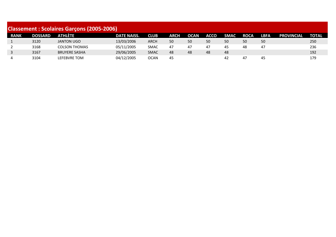| <b>Classement: Scolaires Garçons (2005-2006)</b> |                |                      |                    |             |             |             |             |             |             |             |                   |              |
|--------------------------------------------------|----------------|----------------------|--------------------|-------------|-------------|-------------|-------------|-------------|-------------|-------------|-------------------|--------------|
| <b>RANK</b>                                      | <b>DOSSARD</b> | <b>ATHLÈTE</b>       | <b>DATE NAISS.</b> | <b>CLUB</b> | <b>ARCH</b> | <b>OCAN</b> | <b>ACCO</b> | <b>SMAC</b> | <b>ROCA</b> | <b>LBFA</b> | <b>PROVINCIAL</b> | <b>TOTAL</b> |
| 1                                                | 3120           | <b>JANTON UGO</b>    | 13/03/2006         | ARCH        | 50          | 50          | 50          | 50          | 50          | 50          |                   | 250          |
| 2                                                | 3168           | <b>COLSON THOMAS</b> | 05/11/2005         | <b>SMAC</b> | 47          | 47          | 47          | 45          | 48          | 47          |                   | 236          |
| $\mathbf{3}$                                     | 3167           | <b>BRUYERE SASHA</b> | 29/06/2005         | <b>SMAC</b> | 48          | 48          | 48          | 48          |             |             |                   | 192          |
| 4                                                | 3104           | LEFEBVRE TOM         | 04/12/2005         | OCAN        | 45          |             |             | -42         | 47          | 45          |                   | 179          |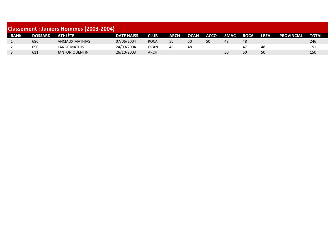|             | <b>Classement : Juniors Hommes (2003-2004)</b> |                        |                    |             |      |             |      |             |             |             |                   |              |  |
|-------------|------------------------------------------------|------------------------|--------------------|-------------|------|-------------|------|-------------|-------------|-------------|-------------------|--------------|--|
| <b>RANK</b> | <b>DOSSARD</b>                                 | <b>ATHLÉTE</b>         | <b>DATE NAISS.</b> | <b>CLUB</b> | ARCH | <b>OCAN</b> | ACCO | <b>SMAC</b> | <b>ROCA</b> | <b>LBFA</b> | <b>PROVINCIAL</b> | <b>TOTAL</b> |  |
|             | 686                                            | <b>ANCIAUX MATHIAS</b> | 07/06/2004         | <b>ROCA</b> | 50   | 50          | 50   | 48          | 48          |             |                   | 246          |  |
|             | 656                                            | LANGE MATHIS           | 24/09/2004         | OCAN        | 48   | 48          |      |             | 47          | 48          |                   | 191          |  |
|             | 611                                            | JANTON QUENTIN         | 26/10/2003         | ARCH        |      |             |      | 50          | 50          | 50          |                   | 150          |  |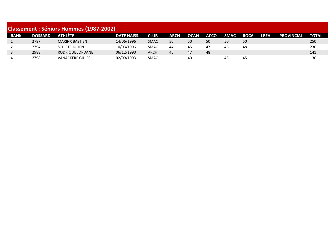| <b>Classement : Séniors Hommes (1987-2002)</b> |                |                         |                    |             |             |             |             |             |             |             |                   |              |
|------------------------------------------------|----------------|-------------------------|--------------------|-------------|-------------|-------------|-------------|-------------|-------------|-------------|-------------------|--------------|
| <b>RANK</b>                                    | <b>DOSSARD</b> | ATHLÉTE                 | <b>DATE NAISS.</b> | <b>CLUB</b> | <b>ARCH</b> | <b>OCAN</b> | <b>ACCO</b> | <b>SMAC</b> | <b>ROCA</b> | <b>LBFA</b> | <b>PROVINCIAL</b> | <b>TOTAL</b> |
|                                                | 2787           | <b>MARINX BASTIEN</b>   | 14/06/1996         | <b>SMAC</b> | 50          | 50          | 50          | 50          | 50          |             |                   | 250          |
|                                                | 2794           | <b>SCHIETS JULIEN</b>   | 10/03/1996         | <b>SMAC</b> | 44          | 45          | 47          | 46          | 48          |             |                   | 230          |
| 3                                              | 2988           | RODRIQUE JORDANE        | 06/12/1990         | <b>ARCH</b> | 46          | 47          | 48          |             |             |             |                   | 141          |
| 4                                              | 2798           | <b>VANACKERE GILLES</b> | 02/09/1993         | <b>SMAC</b> |             | 40          |             | 45          | 45          |             |                   | 130          |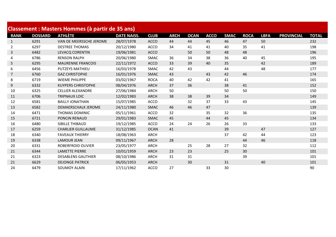| Classement : Masters Hommes (à partir de 35 ans) |                |                            |                    |             |             |             |             |             |             |             |                   |              |
|--------------------------------------------------|----------------|----------------------------|--------------------|-------------|-------------|-------------|-------------|-------------|-------------|-------------|-------------------|--------------|
| <b>RANK</b>                                      | <b>DOSSARD</b> | <b>ATHLÈTE</b>             | <b>DATE NAISS.</b> | <b>CLUB</b> | <b>ARCH</b> | <b>OCAN</b> | <b>ACCO</b> | <b>SMAC</b> | <b>ROCA</b> | <b>LBFA</b> | <b>PROVINCIAL</b> | <b>TOTAL</b> |
| $\mathbf{1}$                                     | 6291           | VAN DE MEERSSCHE JEROME    | 28/07/1978         | <b>ACCO</b> | 44          | 44          | 45          | 46          | 47          | 50          |                   | 232          |
| $\overline{2}$                                   | 6297           | <b>DESTREE THOMAS</b>      | 20/12/1980         | <b>ACCO</b> | 34          | 41          | 41          | 40          | 35          | 41          |                   | 198          |
| 3                                                | 6482           | <b>LEVACQ CORENTIN</b>     | 19/06/1981         | <b>ACCO</b> |             | 50          | 50          | 48          | 48          |             |                   | 196          |
| 4                                                | 6786           | <b>RENSON RALPH</b>        | 20/06/1980         | <b>SMAC</b> | 36          | 34          | 38          | 36          | 40          | 45          |                   | 195          |
| 5                                                | 6295           | <b>MAURENNE FRANCOIS</b>   | 22/11/1972         | <b>ACCO</b> | 33          | 39          | 40          | 35          |             | 42          |                   | 189          |
| 6                                                | 6456           | PUTZEYS MATHIEU            | 16/03/1978         | SMAC        | 42          | 43          |             | 44          |             | 48          |                   | 177          |
| $\overline{7}$                                   | 6760           | <b>GAZ CHRISTOPHE</b>      | 16/01/1976         | <b>SMAC</b> | 43          |             | 43          | 42          | 46          |             |                   | 174          |
| 8                                                | 6719           | <b>WIEME PHILIPPE</b>      | 03/02/1967         | <b>ROCA</b> | 40          | 42          | 42          | 41          |             |             |                   | 165          |
| 9                                                | 6332           | <b>KUYPERS CHRISTOPHE</b>  | 08/04/1976         | <b>ARCH</b> | 37          | 36          |             | 38          | 41          |             |                   | 152          |
| 10                                               | 6325           | <b>CELLIER ALEXANDRE</b>   | 27/06/1984         | <b>ARCH</b> | 50          |             |             | 50          | 50          |             |                   | 150          |
| 11                                               | 6706           | <b>TRIPNAUX LOIC</b>       | 12/02/1983         | <b>ARCH</b> | 38          | 38          | 39          | 34          |             |             |                   | 149          |
| 12                                               | 6581           | <b>BAILLY JONATHAN</b>     | 15/07/1985         | <b>ACCO</b> |             | 32          | 37          | 33          | 43          |             |                   | 145          |
| 13                                               | 6582           | <b>DEMAERSCHALK JEROME</b> | 24/11/1980         | <b>SMAC</b> | 46          | 46          | 47          |             |             |             |                   | 139          |
| 14                                               | 6471           | <b>THOMAS DOMINIC</b>      | 05/11/1961         | <b>ACCO</b> | 32          |             | 35          | 32          | 36          |             |                   | 135          |
| 15                                               | 6721           | PONCIN RENAUD              | 29/01/1983         | <b>SMAC</b> | 45          |             | 44          | 45          |             |             |                   | 134          |
| 16                                               | 6480           | SIBILLE THIBAUD            | 19/12/1985         | <b>ACCO</b> | 24          | 24          | 26          | 26          | 33          |             |                   | 133          |
| 17                                               | 6259           | <b>CHARLIER GUILLAUME</b>  | 31/12/1985         | <b>OCAN</b> | 41          |             |             | 39          |             | 47          |                   | 127          |
| 18                                               | 6340           | <b>FAVEAUX THIERRY</b>     | 18/08/1963         | <b>ARCH</b> |             |             |             | 37          | 42          | 44          |                   | 123          |
| 19                                               | 6338           | <b>LAMOUR JEAN</b>         | 09/11/1967         | <b>ARCH</b> | 28          |             |             |             | 44          | 46          |                   | 118          |
| 20                                               | 6331           | <b>ROBERFROID OLIVIER</b>  | 23/05/1977         | ARCH        |             | 25          | 28          | 27          | 32          |             |                   | 112          |
| 21                                               | 6344           | <b>LAMETTE PIERRE</b>      | 10/01/1959         | <b>ARCH</b> | 23          | 23          |             | 25          | 30          |             |                   | 101          |
| 21                                               | 6323           | <b>DESABLENS GAUTHIER</b>  | 08/10/1986         | <b>ARCH</b> | 31          | 31          |             |             | 39          |             |                   | 101          |
| 21                                               | 6629           | <b>DEJONGE PATRICK</b>     | 06/05/1953         | <b>ARCH</b> |             | 30          |             | 31          |             | 40          |                   | 101          |
| 24                                               | 6479           | <b>SOUMOY ALAIN</b>        | 17/11/1962         | <b>ACCO</b> | 27          |             | 33          | 30          |             |             |                   | 90           |